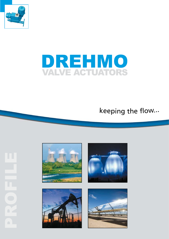



# keeping <sup>t</sup>h<sup>e</sup> flow...







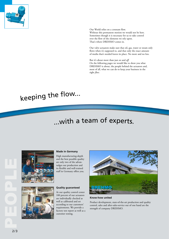

Our World relies on a constant flow. Without this permanent motion we would not be here. Sometimes though it is necessary for us to take control over the flow of the elements we rely upon. That's where DREHMO comes in.

Our valve actuators make sure that oil, gas, water or steam only flows when it's supposed to, and that only the exact amount of media that's needed leaves its place. No more and no less.

But it's about more than just *on* and *off*. On the following pages we would like to show you what DREHMO is about, the people behind the actuators and, most of all, what we can do to keep your business in the right *flow*.

# <sup>k</sup>eepin<sup>g</sup> <sup>t</sup>h<sup>e</sup> <sup>f</sup>low...

# ...with <sup>a</sup> <sup>t</sup>ea<sup>m</sup> <sup>o</sup>f <sup>e</sup><sup>x</sup>perts.





### **Made in Germany**

High manufacturing-depth and the best possible quality are only two of the advantadges our production and its flexible and well-trained staff in Germany offers you.

### **Quality guaranteed**

At our quality control center 100 percent of our actuators are individually checked as well as calibrated and set according to our customers' requirements. We provide a factory test report as well as a customer testing.



### **Know-how united**

Product development, state-of-the-art production and quality control, sales and after-sales-service out of one hand are the strength of company DREHMO.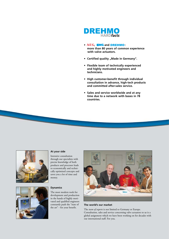

- AEG, **EMG** and **DREHMO**: **more than 80 years of common experience with valve actuators.**
- **Certified quality "Made in Germany".**
- **Flexible team of technically experienced and highly motivated engineers and technicians.**
- **High customer-benefit through individual consultation in advance, high-tech products and committed after-sales service.**
- **Sales and service worldwide and at any time due to a network with bases in 78 countries.**





### **At your side**

Intensive consultation through our specialists with precise knowledge of both products and processes leads to economically and technically optimized concepts and saves you a lot of time and money.

### **Dynamics**

The most modern tools for development and production in the hands of highly motivated and qualified engineers constantly push the "state of the art" - for your benefit.



### **The world's our market**

The *team of experts* is not limited to Germany or Europe. Consultation, sales and service concerning valve actuators to us is a global assignment which we have been working on for decades with our international staff. For you.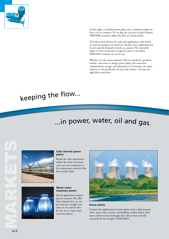

At first sight a coal-fired power plant and a tankfarm might not have a lot in common. For us they do, because in both facilities DREHMO actuators adjust the flow of various media.

This shows how diverse the tasks and applications with which we and our products are faced are, because every application has its own special demands towards an actuator. We constantly adjust to these needs and it might be easier to list where DREHMO actuators are *not* in use.

Whether it is the power industry with its coal-fired-, gas-fired-, nuclear- and waste to energy power plants, the extraction, transportation, storage and refinement of oil and gas, the water industry or the production of steel and cement - we keep the right *flow* everywhere.

### keeping the flow... l

# ...in power, water, oil and gas.



### **Solar thermal power plants**

Beside the valve automation within the water and steam cycle our core competence is the temperature control of the heat transfer fluid.



### **Waste water treatment plants**

Special applications require special actuators. We offer ideal solutions for e.g. oxy gen injection, sludge treat ment or iris control valve for the use in waste water treatment plants.



### **Power plants**

Actuators for applications in power plants such as high-pressure valves, spray water control, coal handling, turbine-bypass, feed water control or heat exchangers have always been and will constantly be the strength of DREHMO.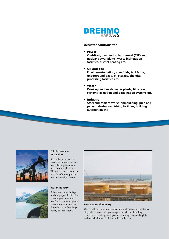

### Actuator solutions for

• Power

**Coal-fired, gas-fired, solar thermal (CSP) and nuclear power plants, waste incineration facilities, district heating etc.**

• Oil and gas

**Pipeline-automation, manifolds, tankfarms, underground gas & oil storage, chemical processing facilities etc.**

• Water

**Drinking and waste water plants, filtration systems, irrigation and desalination systems etc.**

• Industry

**Steel and cement works, shipbuilding, pulp and paper industry, varnishing facilities, building automation etc.**





### **Oil platforms & extraction**

We apply special surface treatment for our actuators to receive highly corrosion resistant applications. Therefore these actuators are ideal for offshore-applications such as oil platforms.

### **Water industry**

When water must be kept in the right *flow* in filtration systems, penstocks, rain overflow basins or irrigation systems, our actuators are the right choice for a large variety of applications.



### **Petrochemical industry**

Our reliable and sturdy actuators are a vital element of tankfarms, oil/gas/LNG-terminals, gas storages, air field fuel handling, refineries and underground gas and oil storage around the globe without which these facilities could hardly exist.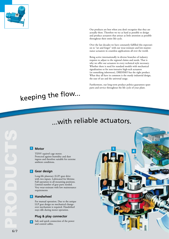

Our products are best when you don't recognize that they are actually there. Therefore we try as hard as possible to design and produce actuators that attract as little attention as possible throughout their entire life-cycle.

Over the last decades we have constantly fulfilled this expectati on to "set and forget" with our wear-resistant and low-mainte nance actuators in countless applications all over the world.

Being active internationally in diverse branches of industry requires to adjust to the regional claims and needs. That is why we offer our actuators in every technical style necessary. Whether there is need for standard models with mechanical signalization or for non-intrusive high-tech actuators (or something inbetween), DREHMO has the right product. What they all have in common is the sturdy industrial design, the ease of use and the universal usage.

Furthermore, our long-term product politics guarantees spare parts and service throughout the life cycle of your plant.

### keeping the flow... l

### with reliable actuators. lil

### **Motor**

TENV squirrel cage motor. Protected against humidity and dust ingress and therefore suitable for extreme ambient conditions.

# **1**<br>2<br>3<br>3<br>4 **Z** Gear design

Long-life planetary (LLP) gear drive with two inputs. Lubricated for lifetime. Full operation in all mounting positions. Limited number of gear parts needed. Very wear-resistant with low maintenance requirements

### **B** Handwheel

For manual operation. Due to the unique LLP gear design no mechanical changeover mechanism is required. Handwheel stays idle during motor operation.

### **Plug & play connector**

Safe and quick connection of the power  $\overline{4}$ and control cables.



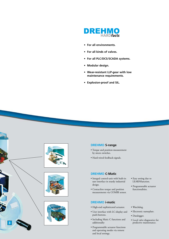

- **For all environments.**
- **For all kinds of valves.**
- **For all PLC/DCS/SCADA systems.**
- **Modular design.**
- **Wear-resistant LLP-gear with low maintenance requirements.**
- **Explosion-proof and SIL.**









### **DREHMO S-range**

- Torque and position-measurement by micro switches.
- Hard-wired feedback-signals.

### **DREHMO C-Matic**

- Integral control-unit with built-in user interface in sturdy industrial design.
- Contactless torque and position measurements via COMBI sensor.

### **DREHMO i-matic**

- High-end sophisticated actuator.
- User interface with LC-display and push-buttons.
- Including Matic C functions and additionally:
- Programmable actuator functions and operating modes via remote and local settings.
- Easy setting due to LEARNfunction.
- Programmable actuator functionalities.
- Watchdog.
- Electronic nameplate.
- Datalogger.
- Local valve diagnostics for predictive maintenance.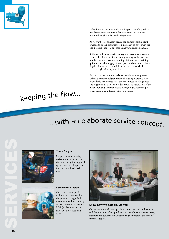

Often business relations end with the purchase of a product. But for us, that's the start! After-sales service to us is not just a hollow phrase but daily-life practise.

As we want to continually secure the highest possible plant availability to our customers, it is necessary to offer them the best possible support. But that alone would not be enough.

With our individual service-concepts we accompany you and your facility from the first steps of planning to the eventual refurbishment or decommissioning. With operator trainings, quick and reliable supply of spare parts and our troubleshoo ting-hotline we act responsible for the actuators which keep the right *flow* in your plant.

But our concepts not only relate to newly planned projects. When it comes to refurbishment of existing plants we take over all relevant steps such as the site inspection, design face and supply of all elements needed as well as supervision of the installation and the final release through our "RetroFit" program, making your facility fit for the future.

### keeping the flow... l

### with an elaborate service concept... l



### **There for you**

Support on comissioning or revision, on-site help at any time and the quick supply of spare parts are daily practise for our committed service team.

### **Service with vision**

Our concepts for predictive maintenance, combined with the possibility to get fault messages in real text directly at the actuator or onto your PDA (via Bluetooth) can save your time, costs and nerves.



**Know-how we pass on....to you** 

Our workshops and trainings allow you to get used to the design and the functions of our products and therefore enable you to set, maintain and service your actuators yourself without the need of external support.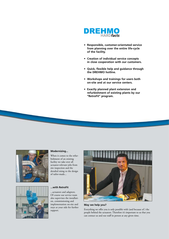

- **Responsible, customer-orientated service from planning over the entire life-cycle of the facility.**
- **Creation of individual service concepts in close cooperation with our customers.**
- **Quick, flexible help and guidance through the DREHMO hotline.**
- **Workshops and trainings for users both on-site and at our service centers.**
- **Exactly planned plant extension and refurbishment of existing plants by our "RetroFit" program.**





### **Modernizing...**

When it comes to the refurbishment of an existing facility we take over all actuator-relevant jobs from site inspection and the detailed sizing to the design of tailor-made...

### **...with RetroFit**

...actuators and adaptors. Of course our service team also supervises the installation, commissioning and implementation on-site and stays at your side for further support.



### **May we help you?**

Everything we offer you is only possible with (and because of ) the people behind the actuators. Therefore it's important to us that you can contact us and our staff in person at any given time.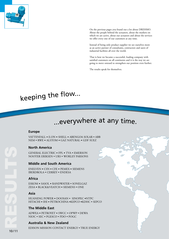

On the previous pages you found out a lot about DREHMO. About the people behind the actuators, about the markets on which we are active, about our actuators and about the services we offer every one of our customers at any time.

Instead of being only product supplier we see ourselves more as an active partner of consultants, contractors and users of industrial facilities all over the world.

That is how we became a successful, leading company with satisfied customers on all continents and it is the way we are going to move onward to strengthen our position even further.

The results speak for themselves.

### keeping the flow... l

## ...everywhere at any time.

### **Europe**

VATTENFALL **•** E.ON **•** SHELL **•** ABENGOA SOLAR • ABB NEM • RWE **•** ALSTOM **•** GAZ NATURAL **•** GDF SUEZ

### **North America**

GENERAL ELECTRIC **•** FPL **•** TVA • EMERSON NOOTER ERIKSEN • URS • WORLEY PARSONS

### **Middle and South America**

ENELVEN **•** CSN **•** CFE **•** PEMEX **•** SIEMENS IBERDROLA • CERREY • ENDESA

### **Africa**

ESKOM **•** SASOL **•** RANDWATER • SONELGAZ ZESA **•** BLACK&VEATCH **•** SIEMENS • ONE

### **Asia**

HUANENG POWER **•** DOOSAN • SINOPEC **•**NTPC HITACHI **•** IHI **•** PETROCHINA **•**KEPCO **•**KDHC • SEPCO

### **The Middle East**

ADWEA **•** PETROYET **•** SWCC • OPWP • DEWA NIOC • SEC • PGESCO • PDO • POGC

### **Australia & New Zealand**

EDISON MISSION CONTACT ENERGY • TRUE ENERGY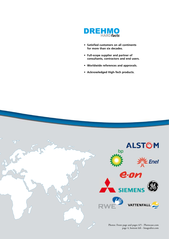

- **Satisfied customers on all continents for more than six decades.**
- **Full-scope supplier and partner of consultants, contractors and end users.**
- **Worldwide references and approvals.**
- **Acknowledged High-Tech products.**